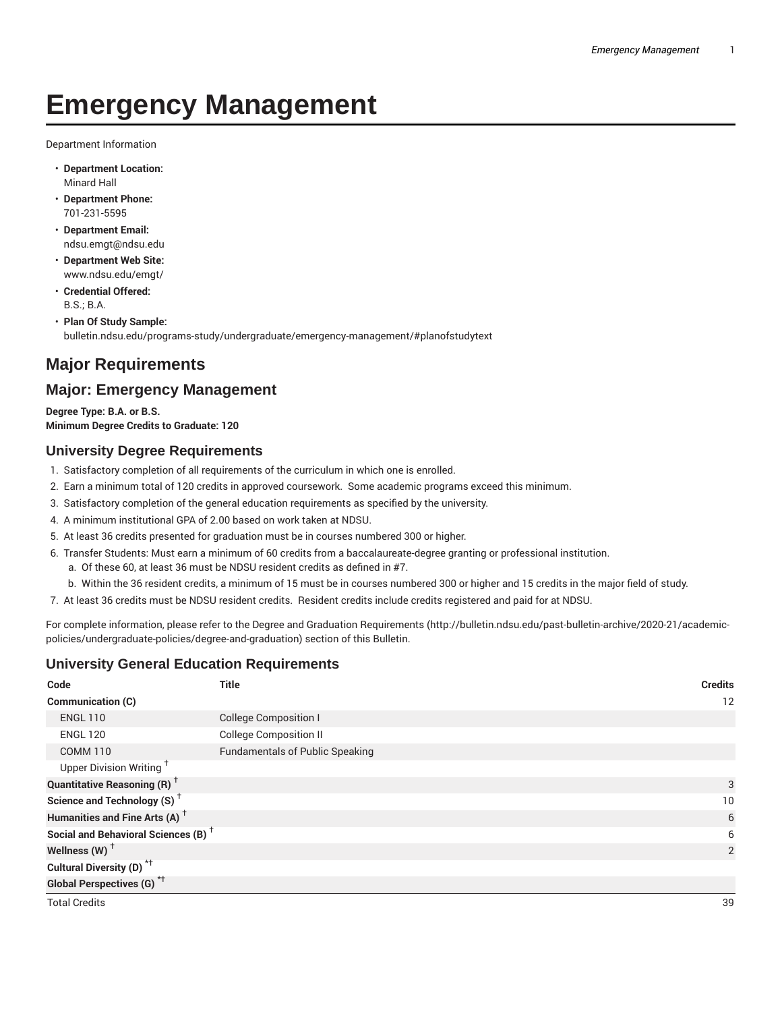# **Emergency Management**

Department Information

- **Department Location:** Minard Hall
- **Department Phone:** 701-231-5595
- **Department Email:** ndsu.emgt@ndsu.edu
- **Department Web Site:** www.ndsu.edu/emgt/
- **Credential Offered:** B.S.; B.A.
- **Plan Of Study Sample:** bulletin.ndsu.edu/programs-study/undergraduate/emergency-management/#planofstudytext

# **Major Requirements**

# **Major: Emergency Management**

**Degree Type: B.A. or B.S. Minimum Degree Credits to Graduate: 120**

### **University Degree Requirements**

- 1. Satisfactory completion of all requirements of the curriculum in which one is enrolled.
- 2. Earn a minimum total of 120 credits in approved coursework. Some academic programs exceed this minimum.
- 3. Satisfactory completion of the general education requirements as specified by the university.
- 4. A minimum institutional GPA of 2.00 based on work taken at NDSU.
- 5. At least 36 credits presented for graduation must be in courses numbered 300 or higher.
- 6. Transfer Students: Must earn a minimum of 60 credits from a baccalaureate-degree granting or professional institution.
	- a. Of these 60, at least 36 must be NDSU resident credits as defined in #7.
	- b. Within the 36 resident credits, a minimum of 15 must be in courses numbered 300 or higher and 15 credits in the major field of study.
- 7. At least 36 credits must be NDSU resident credits. Resident credits include credits registered and paid for at NDSU.

For complete information, please refer to the Degree and Graduation Requirements (http://bulletin.ndsu.edu/past-bulletin-archive/2020-21/academicpolicies/undergraduate-policies/degree-and-graduation) section of this Bulletin.

### **University General Education Requirements**

| Code                                            | <b>Title</b>                           | <b>Credits</b> |
|-------------------------------------------------|----------------------------------------|----------------|
| Communication (C)                               |                                        | 12             |
| <b>ENGL 110</b>                                 | <b>College Composition I</b>           |                |
| <b>ENGL 120</b>                                 | <b>College Composition II</b>          |                |
| <b>COMM 110</b>                                 | <b>Fundamentals of Public Speaking</b> |                |
| Upper Division Writing <sup>+</sup>             |                                        |                |
| <b>Quantitative Reasoning (R)</b> <sup>+</sup>  |                                        | 3              |
| Science and Technology (S) <sup>+</sup>         |                                        | 10             |
| Humanities and Fine Arts (A) <sup>+</sup>       |                                        | 6              |
| Social and Behavioral Sciences (B) <sup>+</sup> |                                        | 6              |
| Wellness $(W)$ <sup>+</sup>                     |                                        | $\overline{2}$ |
| Cultural Diversity (D) <sup>*†</sup>            |                                        |                |
| <b>Global Perspectives (G)</b> <sup>*†</sup>    |                                        |                |
| <b>Total Credits</b>                            |                                        | 39             |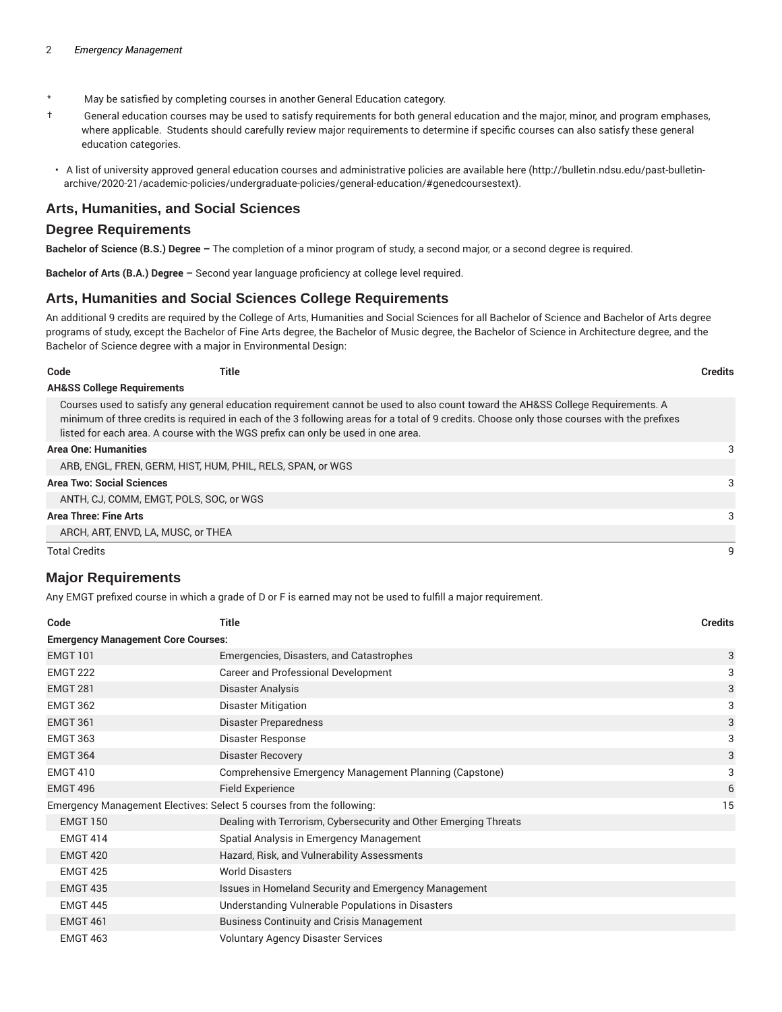- \* May be satisfied by completing courses in another General Education category.
- † General education courses may be used to satisfy requirements for both general education and the major, minor, and program emphases, where applicable. Students should carefully review major requirements to determine if specific courses can also satisfy these general education categories.
- A list of university approved general education courses and administrative policies are available here (http://bulletin.ndsu.edu/past-bulletinarchive/2020-21/academic-policies/undergraduate-policies/general-education/#genedcoursestext).

#### **Arts, Humanities, and Social Sciences**

#### **Degree Requirements**

**Bachelor of Science (B.S.) Degree –** The completion of a minor program of study, a second major, or a second degree is required.

**Bachelor of Arts (B.A.) Degree –** Second year language proficiency at college level required.

#### **Arts, Humanities and Social Sciences College Requirements**

An additional 9 credits are required by the College of Arts, Humanities and Social Sciences for all Bachelor of Science and Bachelor of Arts degree programs of study, except the Bachelor of Fine Arts degree, the Bachelor of Music degree, the Bachelor of Science in Architecture degree, and the Bachelor of Science degree with a major in Environmental Design:

| Code                                  | Title                                                                            |                                                                                                                                                                                                                                                                                | <b>Credits</b> |
|---------------------------------------|----------------------------------------------------------------------------------|--------------------------------------------------------------------------------------------------------------------------------------------------------------------------------------------------------------------------------------------------------------------------------|----------------|
| <b>AH&amp;SS College Requirements</b> |                                                                                  |                                                                                                                                                                                                                                                                                |                |
|                                       | listed for each area. A course with the WGS prefix can only be used in one area. | Courses used to satisfy any general education requirement cannot be used to also count toward the AH&SS College Requirements. A<br>minimum of three credits is required in each of the 3 following areas for a total of 9 credits. Choose only those courses with the prefixes |                |
| <b>Area One: Humanities</b>           |                                                                                  |                                                                                                                                                                                                                                                                                | 3              |
|                                       | ARB, ENGL, FREN, GERM, HIST, HUM, PHIL, RELS, SPAN, or WGS                       |                                                                                                                                                                                                                                                                                |                |
| <b>Area Two: Social Sciences</b>      |                                                                                  |                                                                                                                                                                                                                                                                                | 3              |
|                                       | ANTH, CJ, COMM, EMGT, POLS, SOC, or WGS                                          |                                                                                                                                                                                                                                                                                |                |
| Area Three: Fine Arts                 |                                                                                  |                                                                                                                                                                                                                                                                                | 3              |
|                                       | ARCH, ART, ENVD, LA, MUSC, or THEA                                               |                                                                                                                                                                                                                                                                                |                |
| <b>Total Credits</b>                  |                                                                                  |                                                                                                                                                                                                                                                                                | 9              |

### **Major Requirements**

Any EMGT prefixed course in which a grade of D or F is earned may not be used to fulfill a major requirement.

| Code                                                                 | <b>Title</b>                                                     | <b>Credits</b> |  |
|----------------------------------------------------------------------|------------------------------------------------------------------|----------------|--|
|                                                                      | <b>Emergency Management Core Courses:</b>                        |                |  |
| <b>EMGT 101</b>                                                      | Emergencies, Disasters, and Catastrophes                         | 3              |  |
| <b>EMGT 222</b>                                                      | <b>Career and Professional Development</b>                       | 3              |  |
| <b>EMGT 281</b>                                                      | Disaster Analysis                                                | 3              |  |
| <b>EMGT 362</b>                                                      | <b>Disaster Mitigation</b>                                       | 3              |  |
| <b>EMGT 361</b>                                                      | <b>Disaster Preparedness</b>                                     | 3              |  |
| <b>EMGT 363</b>                                                      | Disaster Response                                                | 3              |  |
| <b>EMGT 364</b>                                                      | <b>Disaster Recovery</b>                                         | 3              |  |
| <b>EMGT 410</b>                                                      | Comprehensive Emergency Management Planning (Capstone)           | 3              |  |
| <b>EMGT 496</b>                                                      | <b>Field Experience</b>                                          | 6              |  |
| Emergency Management Electives: Select 5 courses from the following: |                                                                  | 15             |  |
| <b>EMGT 150</b>                                                      | Dealing with Terrorism, Cybersecurity and Other Emerging Threats |                |  |
| <b>EMGT 414</b>                                                      | Spatial Analysis in Emergency Management                         |                |  |
| <b>EMGT 420</b>                                                      | Hazard, Risk, and Vulnerability Assessments                      |                |  |
| <b>EMGT 425</b>                                                      | <b>World Disasters</b>                                           |                |  |
| <b>EMGT 435</b>                                                      | Issues in Homeland Security and Emergency Management             |                |  |
| <b>EMGT 445</b>                                                      | Understanding Vulnerable Populations in Disasters                |                |  |
| <b>EMGT 461</b>                                                      | <b>Business Continuity and Crisis Management</b>                 |                |  |
| <b>EMGT 463</b>                                                      | <b>Voluntary Agency Disaster Services</b>                        |                |  |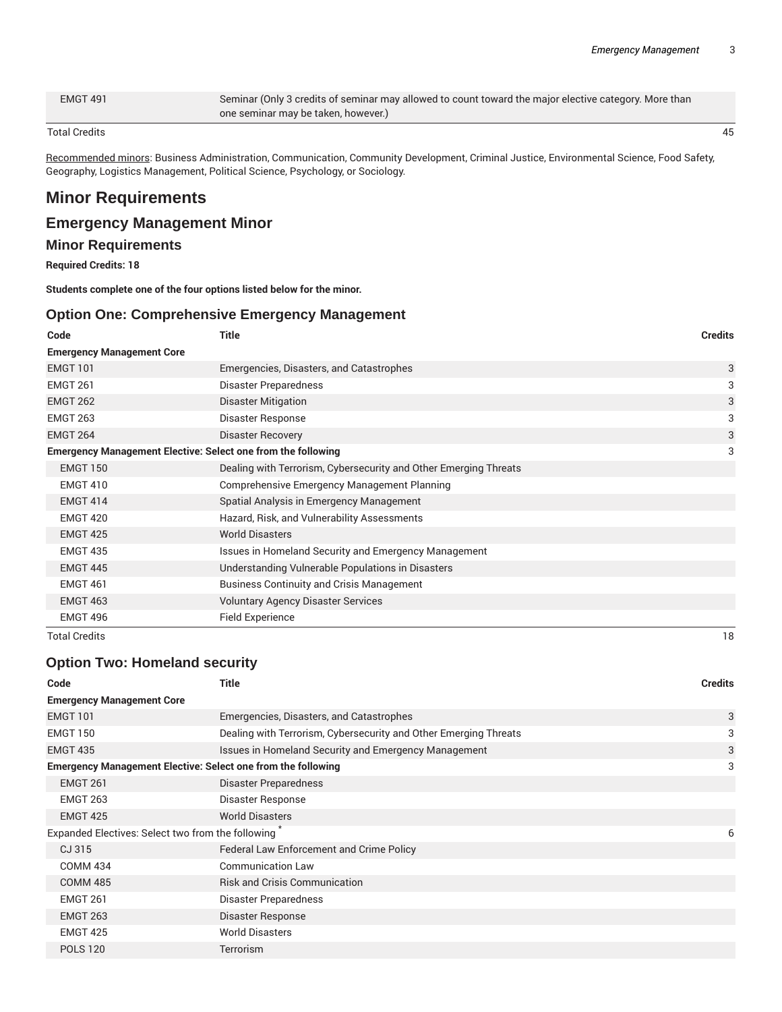EMGT 491 Seminar (Only 3 credits of seminar may allowed to count toward the major elective category. More than one seminar may be taken, however.)

#### Total Credits 45

Recommended minors: Business Administration, Communication, Community Development, Criminal Justice, Environmental Science, Food Safety, Geography, Logistics Management, Political Science, Psychology, or Sociology.

# **Minor Requirements**

### **Emergency Management Minor**

### **Minor Requirements**

**Required Credits: 18**

**Students complete one of the four options listed below for the minor.**

### **Option One: Comprehensive Emergency Management**

| Code                             | <b>Title</b>                                                        | <b>Credits</b> |
|----------------------------------|---------------------------------------------------------------------|----------------|
| <b>Emergency Management Core</b> |                                                                     |                |
| <b>EMGT 101</b>                  | Emergencies, Disasters, and Catastrophes                            | 3              |
| <b>EMGT 261</b>                  | Disaster Preparedness                                               | 3              |
| <b>EMGT 262</b>                  | <b>Disaster Mitigation</b>                                          | 3              |
| <b>EMGT 263</b>                  | Disaster Response                                                   | 3              |
| <b>EMGT 264</b>                  | <b>Disaster Recovery</b>                                            | 3              |
|                                  | <b>Emergency Management Elective: Select one from the following</b> | 3              |
| <b>EMGT 150</b>                  | Dealing with Terrorism, Cybersecurity and Other Emerging Threats    |                |
| <b>EMGT 410</b>                  | Comprehensive Emergency Management Planning                         |                |
| <b>EMGT 414</b>                  | Spatial Analysis in Emergency Management                            |                |
| <b>EMGT 420</b>                  | Hazard, Risk, and Vulnerability Assessments                         |                |
| <b>EMGT 425</b>                  | <b>World Disasters</b>                                              |                |
| <b>EMGT 435</b>                  | Issues in Homeland Security and Emergency Management                |                |
| <b>EMGT 445</b>                  | Understanding Vulnerable Populations in Disasters                   |                |
| <b>EMGT 461</b>                  | <b>Business Continuity and Crisis Management</b>                    |                |
| <b>EMGT 463</b>                  | <b>Voluntary Agency Disaster Services</b>                           |                |
| <b>EMGT 496</b>                  | Field Experience                                                    |                |
| <b>Total Credits</b>             |                                                                     | 18             |

### **Option Two: Homeland security**

| Code                                                                | Title                                                            | <b>Credits</b> |
|---------------------------------------------------------------------|------------------------------------------------------------------|----------------|
| <b>Emergency Management Core</b>                                    |                                                                  |                |
| <b>EMGT 101</b>                                                     | Emergencies, Disasters, and Catastrophes                         | 3              |
| <b>EMGT 150</b>                                                     | Dealing with Terrorism, Cybersecurity and Other Emerging Threats | 3              |
| <b>EMGT 435</b>                                                     | <b>Issues in Homeland Security and Emergency Management</b>      | 3              |
| <b>Emergency Management Elective: Select one from the following</b> |                                                                  | 3              |
| <b>EMGT 261</b>                                                     | Disaster Preparedness                                            |                |
| <b>EMGT 263</b>                                                     | Disaster Response                                                |                |
| <b>EMGT 425</b>                                                     | <b>World Disasters</b>                                           |                |
| Expanded Electives: Select two from the following                   |                                                                  | 6              |
| CJ 315                                                              | <b>Federal Law Enforcement and Crime Policy</b>                  |                |
| <b>COMM 434</b>                                                     | <b>Communication Law</b>                                         |                |
| <b>COMM 485</b>                                                     | <b>Risk and Crisis Communication</b>                             |                |
| <b>EMGT 261</b>                                                     | Disaster Preparedness                                            |                |
| <b>EMGT 263</b>                                                     | Disaster Response                                                |                |
| <b>EMGT 425</b>                                                     | <b>World Disasters</b>                                           |                |
| <b>POLS 120</b>                                                     | Terrorism                                                        |                |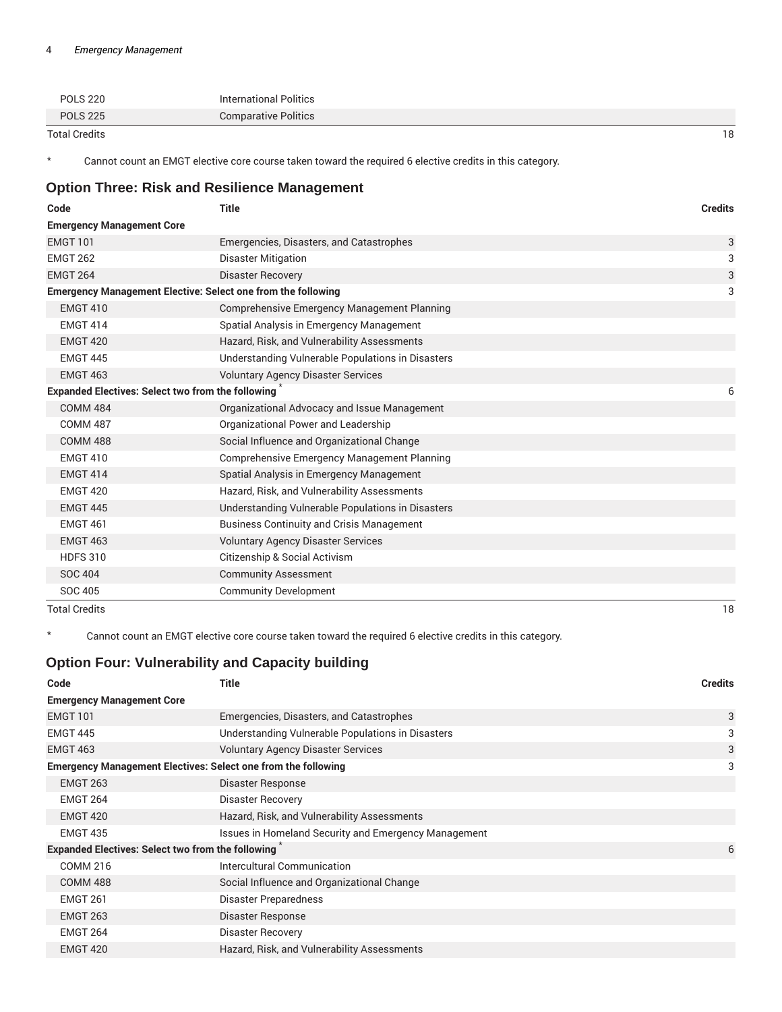| <b>POLS 220</b> | International Politics      |
|-----------------|-----------------------------|
| <b>POLS 225</b> | <b>Comparative Politics</b> |

Total Credits 18

\* Cannot count an EMGT elective core course taken toward the required 6 elective credits in this category.

# **Option Three: Risk and Resilience Management**

| Code                                                                | <b>Title</b>                                       | <b>Credits</b> |
|---------------------------------------------------------------------|----------------------------------------------------|----------------|
| <b>Emergency Management Core</b>                                    |                                                    |                |
| <b>EMGT 101</b>                                                     | Emergencies, Disasters, and Catastrophes           | 3              |
| <b>EMGT 262</b>                                                     | <b>Disaster Mitigation</b>                         | 3              |
| <b>EMGT 264</b>                                                     | <b>Disaster Recovery</b>                           | 3              |
| <b>Emergency Management Elective: Select one from the following</b> |                                                    | 3              |
| <b>EMGT 410</b>                                                     | Comprehensive Emergency Management Planning        |                |
| <b>EMGT 414</b>                                                     | Spatial Analysis in Emergency Management           |                |
| <b>EMGT 420</b>                                                     | Hazard, Risk, and Vulnerability Assessments        |                |
| <b>EMGT 445</b>                                                     | Understanding Vulnerable Populations in Disasters  |                |
| <b>EMGT 463</b>                                                     | <b>Voluntary Agency Disaster Services</b>          |                |
| <b>Expanded Electives: Select two from the following</b>            |                                                    | 6              |
| <b>COMM 484</b>                                                     | Organizational Advocacy and Issue Management       |                |
| <b>COMM 487</b>                                                     | Organizational Power and Leadership                |                |
| <b>COMM 488</b>                                                     | Social Influence and Organizational Change         |                |
| <b>EMGT 410</b>                                                     | <b>Comprehensive Emergency Management Planning</b> |                |
| <b>EMGT 414</b>                                                     | Spatial Analysis in Emergency Management           |                |
| <b>EMGT 420</b>                                                     | Hazard, Risk, and Vulnerability Assessments        |                |
| <b>EMGT 445</b>                                                     | Understanding Vulnerable Populations in Disasters  |                |
| <b>EMGT 461</b>                                                     | <b>Business Continuity and Crisis Management</b>   |                |
| <b>EMGT 463</b>                                                     | <b>Voluntary Agency Disaster Services</b>          |                |
| <b>HDFS 310</b>                                                     | Citizenship & Social Activism                      |                |
| <b>SOC 404</b>                                                      | <b>Community Assessment</b>                        |                |
| SOC 405                                                             | <b>Community Development</b>                       |                |
| <b>Total Credits</b>                                                |                                                    | 18             |

\* Cannot count an EMGT elective core course taken toward the required 6 elective credits in this category.

### **Option Four: Vulnerability and Capacity building**

| Code                                                                 | <b>Title</b>                                         | <b>Credits</b> |
|----------------------------------------------------------------------|------------------------------------------------------|----------------|
| <b>Emergency Management Core</b>                                     |                                                      |                |
| <b>EMGT 101</b>                                                      | Emergencies, Disasters, and Catastrophes             | 3              |
| <b>EMGT 445</b>                                                      | Understanding Vulnerable Populations in Disasters    | 3              |
| <b>EMGT 463</b>                                                      | <b>Voluntary Agency Disaster Services</b>            | 3              |
| <b>Emergency Management Electives: Select one from the following</b> |                                                      | 3              |
| <b>EMGT 263</b>                                                      | Disaster Response                                    |                |
| <b>EMGT 264</b>                                                      | <b>Disaster Recovery</b>                             |                |
| <b>EMGT 420</b>                                                      | Hazard, Risk, and Vulnerability Assessments          |                |
| <b>EMGT 435</b>                                                      | Issues in Homeland Security and Emergency Management |                |
| <b>Expanded Electives: Select two from the following</b>             |                                                      | 6              |
| <b>COMM 216</b>                                                      | Intercultural Communication                          |                |
| <b>COMM 488</b>                                                      | Social Influence and Organizational Change           |                |
| <b>EMGT 261</b>                                                      | Disaster Preparedness                                |                |
| <b>EMGT 263</b>                                                      | Disaster Response                                    |                |
| <b>EMGT 264</b>                                                      | <b>Disaster Recovery</b>                             |                |
| <b>EMGT 420</b>                                                      | Hazard, Risk, and Vulnerability Assessments          |                |